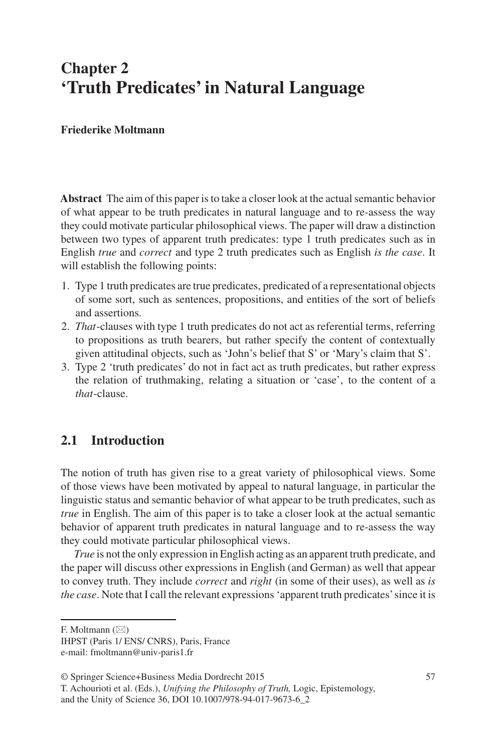# **Chapter 2 'Truth Predicates' in Natural Language**

#### **Friederike Moltmann**

**Abstract** The aim of this paper is to take a closer look at the actual semantic behavior of what appear to be truth predicates in natural language and to re-assess the way they could motivate particular philosophical views. The paper will draw a distinction between two types of apparent truth predicates: type 1 truth predicates such as in English *true* and *correct* and type 2 truth predicates such as English *is the case*. It will establish the following points:

- 1. Type 1 truth predicates are true predicates, predicated of a representational objects of some sort, such as sentences, propositions, and entities of the sort of beliefs and assertions.
- 2. *That*-clauses with type 1 truth predicates do not act as referential terms, referring to propositions as truth bearers, but rather specify the content of contextually given attitudinal objects, such as 'John's belief that S' or 'Mary's claim that S'.
- 3. Type 2 'truth predicates' do not in fact act as truth predicates, but rather express the relation of truthmaking, relating a situation or 'case', to the content of a *that*-clause.

## **2.1 Introduction**

The notion of truth has given rise to a great variety of philosophical views. Some of those views have been motivated by appeal to natural language, in particular the linguistic status and semantic behavior of what appear to be truth predicates, such as *true* in English. The aim of this paper is to take a closer look at the actual semantic behavior of apparent truth predicates in natural language and to re-assess the way they could motivate particular philosophical views.

*True* is not the only expression in English acting as an apparent truth predicate, and the paper will discuss other expressions in English (and German) as well that appear to convey truth. They include *correct* and *right* (in some of their uses), as well as *is the case*. Note that I call the relevant expressions 'apparent truth predicates' since it is

F. Moltmann  $(\boxtimes)$ 

IHPST (Paris 1/ ENS/ CNRS), Paris, France e-mail: fmoltmann@univ-paris1.fr

<sup>©</sup> Springer Science+Business Media Dordrecht 2015 57

T. Achourioti et al. (Eds.), *Unifying the Philosophy of Truth,* Logic, Epistemology, and the Unity of Science 36, DOI 10.1007/978-94-017-9673-6\_2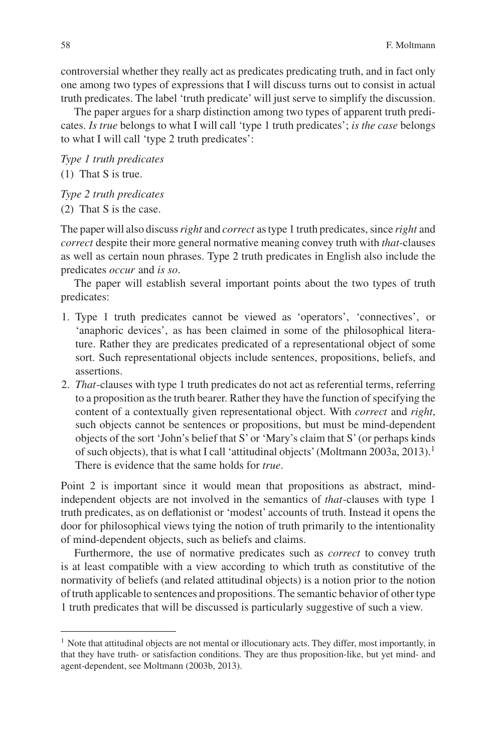controversial whether they really act as predicates predicating truth, and in fact only one among two types of expressions that I will discuss turns out to consist in actual truth predicates. The label 'truth predicate' will just serve to simplify the discussion.

The paper argues for a sharp distinction among two types of apparent truth predicates. *Is true* belongs to what I will call 'type 1 truth predicates'; *is the case* belongs to what I will call 'type 2 truth predicates':

*Type 1 truth predicates* (1) That S is true.

*Type 2 truth predicates*

(2) That S is the case.

The paper will also discuss*right* and *correct* as type 1 truth predicates, since *right* and *correct* despite their more general normative meaning convey truth with *that-*clauses as well as certain noun phrases. Type 2 truth predicates in English also include the predicates *occur* and *is so*.

The paper will establish several important points about the two types of truth predicates:

- 1. Type 1 truth predicates cannot be viewed as 'operators', 'connectives', or 'anaphoric devices', as has been claimed in some of the philosophical literature. Rather they are predicates predicated of a representational object of some sort. Such representational objects include sentences, propositions, beliefs, and assertions.
- 2. *That*-clauses with type 1 truth predicates do not act as referential terms, referring to a proposition as the truth bearer. Rather they have the function of specifying the content of a contextually given representational object. With *correct* and *right*, such objects cannot be sentences or propositions, but must be mind-dependent objects of the sort 'John's belief that S' or 'Mary's claim that S' (or perhaps kinds of such objects), that is what I call 'attitudinal objects'(Moltmann 2003a, 2013).<sup>1</sup> There is evidence that the same holds for *true*.

Point 2 is important since it would mean that propositions as abstract, mindindependent objects are not involved in the semantics of *that*-clauses with type 1 truth predicates, as on deflationist or 'modest' accounts of truth. Instead it opens the door for philosophical views tying the notion of truth primarily to the intentionality of mind-dependent objects, such as beliefs and claims.

Furthermore, the use of normative predicates such as *correct* to convey truth is at least compatible with a view according to which truth as constitutive of the normativity of beliefs (and related attitudinal objects) is a notion prior to the notion of truth applicable to sentences and propositions. The semantic behavior of other type 1 truth predicates that will be discussed is particularly suggestive of such a view.

 $<sup>1</sup>$  Note that attitudinal objects are not mental or illocutionary acts. They differ, most importantly, in</sup> that they have truth- or satisfaction conditions. They are thus proposition-like, but yet mind- and agent-dependent, see Moltmann (2003b, 2013).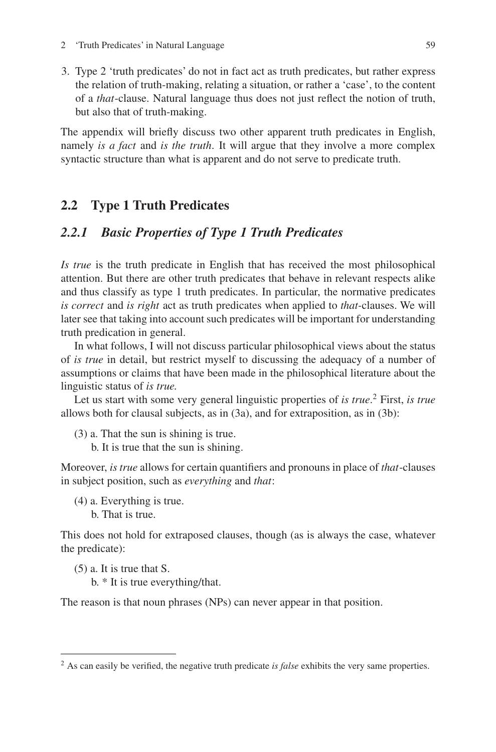3. Type 2 'truth predicates' do not in fact act as truth predicates, but rather express the relation of truth-making, relating a situation, or rather a 'case', to the content of a *that*-clause. Natural language thus does not just reflect the notion of truth, but also that of truth-making.

The appendix will briefly discuss two other apparent truth predicates in English, namely *is a fact* and *is the truth*. It will argue that they involve a more complex syntactic structure than what is apparent and do not serve to predicate truth.

#### **2.2 Type 1 Truth Predicates**

#### *2.2.1 Basic Properties of Type 1 Truth Predicates*

*Is true* is the truth predicate in English that has received the most philosophical attention. But there are other truth predicates that behave in relevant respects alike and thus classify as type 1 truth predicates. In particular, the normative predicates *is correct* and *is right* act as truth predicates when applied to *that-*clauses. We will later see that taking into account such predicates will be important for understanding truth predication in general.

In what follows, I will not discuss particular philosophical views about the status of *is true* in detail, but restrict myself to discussing the adequacy of a number of assumptions or claims that have been made in the philosophical literature about the linguistic status of *is true.*

Let us start with some very general linguistic properties of *is true*. <sup>2</sup> First, *is true* allows both for clausal subjects, as in (3a), and for extraposition, as in (3b):

(3) a. That the sun is shining is true.

b. It is true that the sun is shining.

Moreover, *is true* allows for certain quantifiers and pronouns in place of *that*-clauses in subject position, such as *everything* and *that*:

(4) a. Everything is true. b. That is true.

This does not hold for extraposed clauses, though (as is always the case, whatever the predicate):

(5) a. It is true that S.

b. \* It is true everything/that.

The reason is that noun phrases (NPs) can never appear in that position.

<sup>2</sup> As can easily be verified, the negative truth predicate *is false* exhibits the very same properties.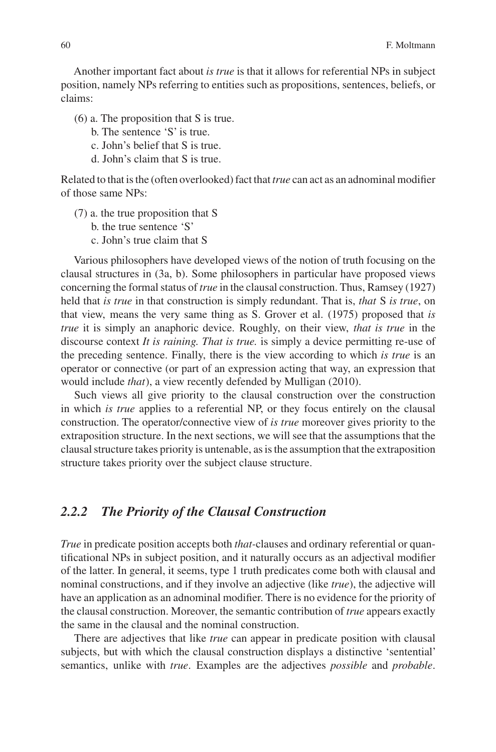Another important fact about *is true* is that it allows for referential NPs in subject position, namely NPs referring to entities such as propositions, sentences, beliefs, or claims:

- (6) a. The proposition that S is true.
	- b. The sentence 'S' is true.
	- c. John's belief that S is true.
	- d. John's claim that S is true.

Related to that is the (often overlooked) fact that *true* can act as an adnominal modifier of those same NPs:

- (7) a. the true proposition that S
	- b. the true sentence 'S'
	- c. John's true claim that S

Various philosophers have developed views of the notion of truth focusing on the clausal structures in (3a, b). Some philosophers in particular have proposed views concerning the formal status of *true* in the clausal construction. Thus, Ramsey (1927) held that *is true* in that construction is simply redundant. That is, *that* S *is true*, on that view, means the very same thing as S. Grover et al. (1975) proposed that *is true* it is simply an anaphoric device. Roughly, on their view, *that is true* in the discourse context *It is raining. That is true.* is simply a device permitting re-use of the preceding sentence. Finally, there is the view according to which *is true* is an operator or connective (or part of an expression acting that way, an expression that would include *that*), a view recently defended by Mulligan (2010).

Such views all give priority to the clausal construction over the construction in which *is true* applies to a referential NP, or they focus entirely on the clausal construction. The operator/connective view of *is true* moreover gives priority to the extraposition structure. In the next sections, we will see that the assumptions that the clausal structure takes priority is untenable, as is the assumption that the extraposition structure takes priority over the subject clause structure.

#### *2.2.2 The Priority of the Clausal Construction*

*True* in predicate position accepts both *that-*clauses and ordinary referential or quantificational NPs in subject position, and it naturally occurs as an adjectival modifier of the latter. In general, it seems, type 1 truth predicates come both with clausal and nominal constructions, and if they involve an adjective (like *true*), the adjective will have an application as an adnominal modifier. There is no evidence for the priority of the clausal construction. Moreover, the semantic contribution of *true* appears exactly the same in the clausal and the nominal construction.

There are adjectives that like *true* can appear in predicate position with clausal subjects, but with which the clausal construction displays a distinctive 'sentential' semantics, unlike with *true*. Examples are the adjectives *possible* and *probable*.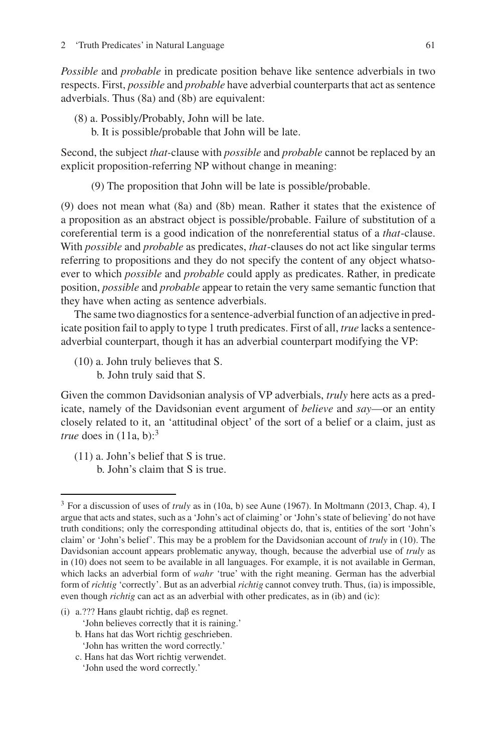*Possible* and *probable* in predicate position behave like sentence adverbials in two respects. First, *possible* and *probable* have adverbial counterparts that act as sentence adverbials. Thus (8a) and (8b) are equivalent:

- (8) a. Possibly/Probably, John will be late.
	- b. It is possible/probable that John will be late.

Second, the subject *that-*clause with *possible* and *probable* cannot be replaced by an explicit proposition-referring NP without change in meaning:

(9) The proposition that John will be late is possible/probable.

(9) does not mean what (8a) and (8b) mean. Rather it states that the existence of a proposition as an abstract object is possible/probable. Failure of substitution of a coreferential term is a good indication of the nonreferential status of a *that*-clause. With *possible* and *probable* as predicates, *that*-clauses do not act like singular terms referring to propositions and they do not specify the content of any object whatsoever to which *possible* and *probable* could apply as predicates. Rather, in predicate position, *possible* and *probable* appear to retain the very same semantic function that they have when acting as sentence adverbials.

The same two diagnostics for a sentence-adverbial function of an adjective in predicate position fail to apply to type 1 truth predicates. First of all, *true* lacks a sentenceadverbial counterpart, though it has an adverbial counterpart modifying the VP:

(10) a. John truly believes that S. b. John truly said that S.

Given the common Davidsonian analysis of VP adverbials, *truly* here acts as a predicate, namely of the Davidsonian event argument of *believe* and *say*—or an entity closely related to it, an 'attitudinal object' of the sort of a belief or a claim, just as *true* does in  $(11a, b)$ :<sup>3</sup>

(11) a. John's belief that S is true. b. John's claim that S is true.

- (i) a.??? Hans glaubt richtig, daβ es regnet.
	- 'John believes correctly that it is raining.'
	- b. Hans hat das Wort richtig geschrieben. 'John has written the word correctly.'
	- c. Hans hat das Wort richtig verwendet. 'John used the word correctly.'

<sup>3</sup> For a discussion of uses of *truly* as in (10a, b) see Aune (1967). In Moltmann (2013, Chap. 4), I argue that acts and states, such as a 'John's act of claiming'or 'John's state of believing'do not have truth conditions; only the corresponding attitudinal objects do, that is, entities of the sort 'John's claim' or 'John's belief'. This may be a problem for the Davidsonian account of *truly* in (10). The Davidsonian account appears problematic anyway, though, because the adverbial use of *truly* as in (10) does not seem to be available in all languages. For example, it is not available in German, which lacks an adverbial form of *wahr* 'true' with the right meaning. German has the adverbial form of *richtig* 'correctly'. But as an adverbial *richtig* cannot convey truth. Thus, (ia) is impossible, even though *richtig* can act as an adverbial with other predicates, as in (ib) and (ic):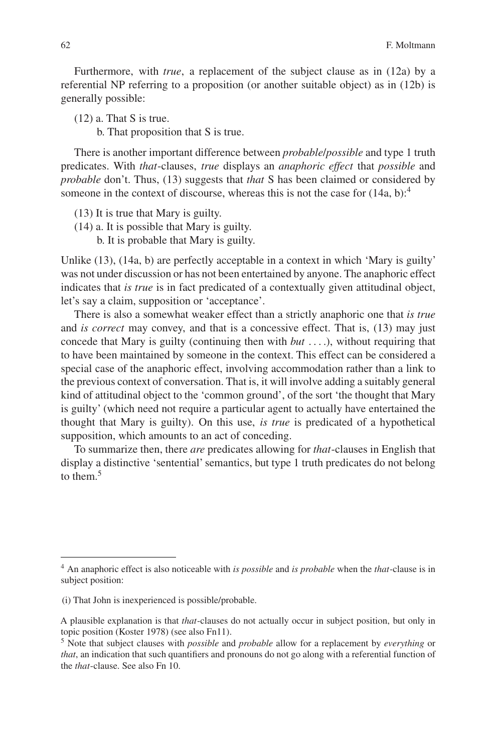Furthermore, with *true*, a replacement of the subject clause as in (12a) by a referential NP referring to a proposition (or another suitable object) as in (12b) is generally possible:

- (12) a. That S is true.
	- b. That proposition that S is true.

There is another important difference between *probable*/*possible* and type 1 truth predicates. With *that*-clauses, *true* displays an *anaphoric effect* that *possible* and *probable* don't. Thus, (13) suggests that *that* S has been claimed or considered by someone in the context of discourse, whereas this is not the case for  $(14a, b)$ :<sup>4</sup>

- (13) It is true that Mary is guilty.
- (14) a. It is possible that Mary is guilty.

b. It is probable that Mary is guilty.

Unlike (13), (14a, b) are perfectly acceptable in a context in which 'Mary is guilty' was not under discussion or has not been entertained by anyone. The anaphoric effect indicates that *is true* is in fact predicated of a contextually given attitudinal object, let's say a claim, supposition or 'acceptance'.

There is also a somewhat weaker effect than a strictly anaphoric one that *is true* and *is correct* may convey, and that is a concessive effect. That is, (13) may just concede that Mary is guilty (continuing then with *but ...* .), without requiring that to have been maintained by someone in the context. This effect can be considered a special case of the anaphoric effect, involving accommodation rather than a link to the previous context of conversation. That is, it will involve adding a suitably general kind of attitudinal object to the 'common ground', of the sort 'the thought that Mary is guilty' (which need not require a particular agent to actually have entertained the thought that Mary is guilty). On this use, *is true* is predicated of a hypothetical supposition, which amounts to an act of conceding.

To summarize then, there *are* predicates allowing for *that*-clauses in English that display a distinctive 'sentential' semantics, but type 1 truth predicates do not belong to them.<sup>5</sup>

<sup>4</sup> An anaphoric effect is also noticeable with *is possible* and *is probable* when the *that*-clause is in subject position:

<sup>(</sup>i) That John is inexperienced is possible/probable.

A plausible explanation is that *that*-clauses do not actually occur in subject position, but only in topic position (Koster 1978) (see also Fn11).

<sup>5</sup> Note that subject clauses with *possible* and *probable* allow for a replacement by *everything* or *that*, an indication that such quantifiers and pronouns do not go along with a referential function of the *that*-clause. See also Fn 10.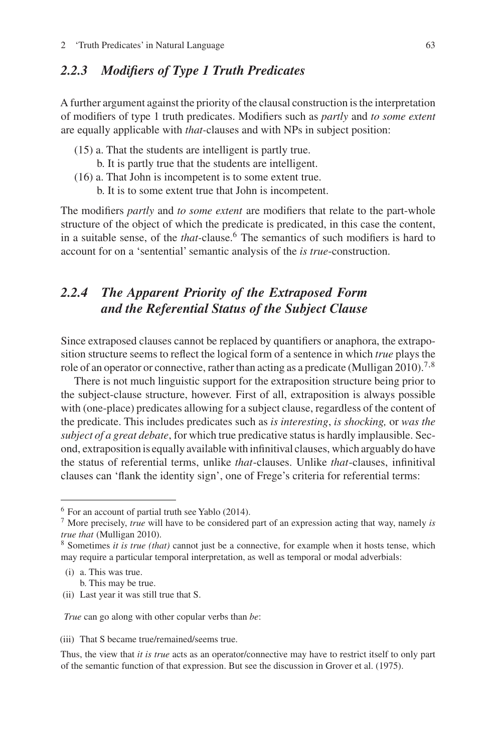### *2.2.3 Modifiers of Type 1 Truth Predicates*

A further argument against the priority of the clausal construction is the interpretation of modifiers of type 1 truth predicates. Modifiers such as *partly* and *to some extent* are equally applicable with *that-*clauses and with NPs in subject position:

- (15) a. That the students are intelligent is partly true.
	- b. It is partly true that the students are intelligent.
- (16) a. That John is incompetent is to some extent true.

b. It is to some extent true that John is incompetent.

The modifiers *partly* and *to some extent* are modifiers that relate to the part-whole structure of the object of which the predicate is predicated, in this case the content, in a suitable sense, of the *that-*clause.<sup>6</sup> The semantics of such modifiers is hard to account for on a 'sentential' semantic analysis of the *is true*-construction.

# *2.2.4 The Apparent Priority of the Extraposed Form and the Referential Status of the Subject Clause*

Since extraposed clauses cannot be replaced by quantifiers or anaphora, the extraposition structure seems to reflect the logical form of a sentence in which *true* plays the role of an operator or connective, rather than acting as a predicate (Mulligan 2010).<sup>7,8</sup>

There is not much linguistic support for the extraposition structure being prior to the subject-clause structure, however. First of all, extraposition is always possible with (one-place) predicates allowing for a subject clause, regardless of the content of the predicate. This includes predicates such as *is interesting*, *is shocking,* or *was the subject of a great debate*, for which true predicative status is hardly implausible. Second, extraposition is equally available with infinitival clauses, which arguably do have the status of referential terms, unlike *that*-clauses. Unlike *that*-clauses, infinitival clauses can 'flank the identity sign', one of Frege's criteria for referential terms:

b. This may be true.

(ii) Last year it was still true that S.

*True* can go along with other copular verbs than *be*:

(iii) That S became true/remained/seems true.

<sup>6</sup> For an account of partial truth see Yablo (2014).

<sup>7</sup> More precisely, *true* will have to be considered part of an expression acting that way, namely *is true that* (Mulligan 2010).

<sup>8</sup> Sometimes *it is true (that)* cannot just be a connective, for example when it hosts tense, which may require a particular temporal interpretation, as well as temporal or modal adverbials:

<sup>(</sup>i) a. This was true.

Thus, the view that *it is true* acts as an operator/connective may have to restrict itself to only part of the semantic function of that expression. But see the discussion in Grover et al. (1975).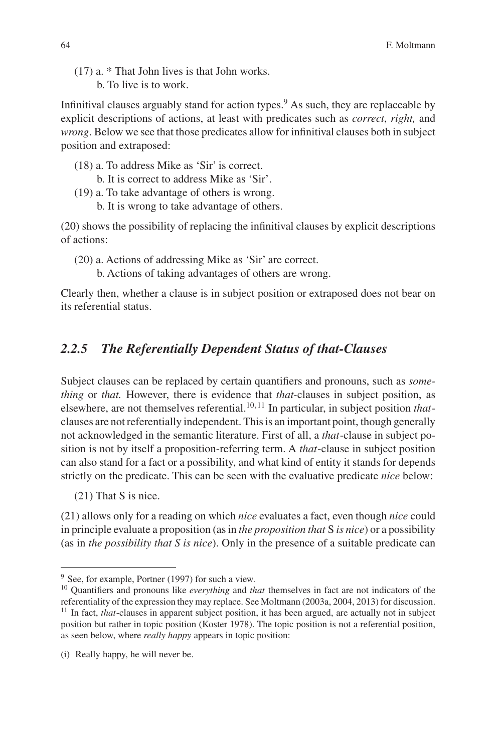(17) a. \* That John lives is that John works. b. To live is to work.

Infinitival clauses arguably stand for action types.<sup>9</sup> As such, they are replaceable by explicit descriptions of actions, at least with predicates such as *correct*, *right,* and *wrong*. Below we see that those predicates allow for infinitival clauses both in subject position and extraposed:

(18) a. To address Mike as 'Sir' is correct.

b. It is correct to address Mike as 'Sir'.

(19) a. To take advantage of others is wrong.

b. It is wrong to take advantage of others.

(20) shows the possibility of replacing the infinitival clauses by explicit descriptions of actions:

(20) a. Actions of addressing Mike as 'Sir' are correct.

b. Actions of taking advantages of others are wrong.

Clearly then, whether a clause is in subject position or extraposed does not bear on its referential status.

## *2.2.5 The Referentially Dependent Status of that-Clauses*

Subject clauses can be replaced by certain quantifiers and pronouns, such as *something* or *that.* However, there is evidence that *that-*clauses in subject position, as elsewhere, are not themselves referential.<sup>10,11</sup> In particular, in subject position *that*clauses are not referentially independent. This is an important point, though generally not acknowledged in the semantic literature. First of all, a *that*-clause in subject position is not by itself a proposition-referring term. A *that*-clause in subject position can also stand for a fact or a possibility, and what kind of entity it stands for depends strictly on the predicate. This can be seen with the evaluative predicate *nice* below:

(21) That S is nice.

(21) allows only for a reading on which *nice* evaluates a fact, even though *nice* could in principle evaluate a proposition (as in *the proposition that* S *is nice*) or a possibility (as in *the possibility that S is nice*). Only in the presence of a suitable predicate can

<sup>9</sup> See, for example, Portner (1997) for such a view.

<sup>10</sup> Quantifiers and pronouns like *everything* and *that* themselves in fact are not indicators of the referentiality of the expression they may replace. See Moltmann (2003a, 2004, 2013) for discussion. <sup>11</sup> In fact, *that*-clauses in apparent subject position, it has been argued, are actually not in subject position but rather in topic position (Koster 1978). The topic position is not a referential position, as seen below, where *really happy* appears in topic position:

<sup>(</sup>i) Really happy, he will never be.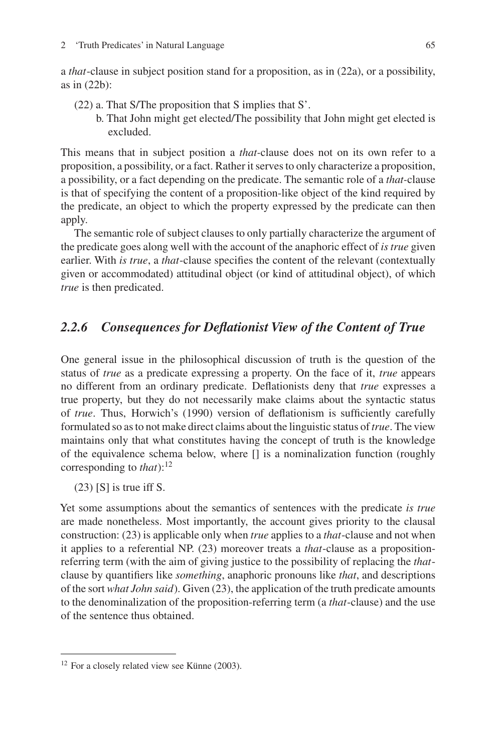a *that*-clause in subject position stand for a proposition, as in (22a), or a possibility, as in (22b):

- (22) a. That S/The proposition that S implies that S'.
	- b. That John might get elected/The possibility that John might get elected is excluded.

This means that in subject position a *that-*clause does not on its own refer to a proposition, a possibility, or a fact. Rather it serves to only characterize a proposition, a possibility, or a fact depending on the predicate. The semantic role of a *that-*clause is that of specifying the content of a proposition-like object of the kind required by the predicate, an object to which the property expressed by the predicate can then apply.

The semantic role of subject clauses to only partially characterize the argument of the predicate goes along well with the account of the anaphoric effect of *is true* given earlier. With *is true*, a *that*-clause specifies the content of the relevant (contextually given or accommodated) attitudinal object (or kind of attitudinal object), of which *true* is then predicated.

#### *2.2.6 Consequences for Deflationist View of the Content of True*

One general issue in the philosophical discussion of truth is the question of the status of *true* as a predicate expressing a property. On the face of it, *true* appears no different from an ordinary predicate. Deflationists deny that *true* expresses a true property, but they do not necessarily make claims about the syntactic status of *true*. Thus, Horwich's (1990) version of deflationism is sufficiently carefully formulated so as to not make direct claims about the linguistic status of*true*. The view maintains only that what constitutes having the concept of truth is the knowledge of the equivalence schema below, where [] is a nominalization function (roughly corresponding to *that*):<sup>12</sup>

 $(23)$  [S] is true iff S.

Yet some assumptions about the semantics of sentences with the predicate *is true* are made nonetheless. Most importantly, the account gives priority to the clausal construction: (23) is applicable only when *true* applies to a *that*-clause and not when it applies to a referential NP. (23) moreover treats a *that*-clause as a propositionreferring term (with the aim of giving justice to the possibility of replacing the *that*clause by quantifiers like *something*, anaphoric pronouns like *that*, and descriptions of the sort *what John said*). Given (23), the application of the truth predicate amounts to the denominalization of the proposition-referring term (a *that*-clause) and the use of the sentence thus obtained.

<sup>12</sup> For a closely related view see Künne (2003).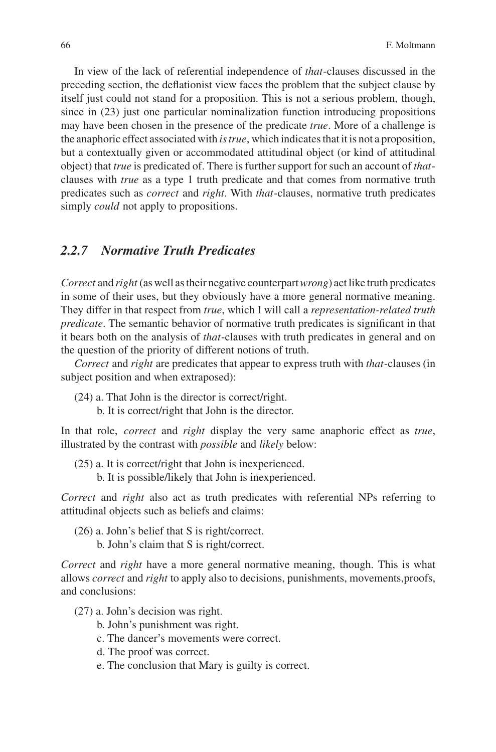In view of the lack of referential independence of *that*-clauses discussed in the preceding section, the deflationist view faces the problem that the subject clause by itself just could not stand for a proposition. This is not a serious problem, though, since in (23) just one particular nominalization function introducing propositions may have been chosen in the presence of the predicate *true*. More of a challenge is the anaphoric effect associated with *is true*, which indicates that it is not a proposition, but a contextually given or accommodated attitudinal object (or kind of attitudinal object) that *true* is predicated of. There is further support for such an account of *that*clauses with *true* as a type 1 truth predicate and that comes from normative truth predicates such as *correct* and *right*. With *that*-clauses, normative truth predicates simply *could* not apply to propositions.

### *2.2.7 Normative Truth Predicates*

*Correct* and *right* (as well as their negative counterpart*wrong*) act like truth predicates in some of their uses, but they obviously have a more general normative meaning. They differ in that respect from *true*, which I will call a *representation-related truth predicate*. The semantic behavior of normative truth predicates is significant in that it bears both on the analysis of *that*-clauses with truth predicates in general and on the question of the priority of different notions of truth.

*Correct* and *right* are predicates that appear to express truth with *that*-clauses (in subject position and when extraposed):

(24) a. That John is the director is correct/right.

b. It is correct/right that John is the director.

In that role, *correct* and *right* display the very same anaphoric effect as *true*, illustrated by the contrast with *possible* and *likely* below:

(25) a. It is correct/right that John is inexperienced.

b. It is possible/likely that John is inexperienced.

*Correct* and *right* also act as truth predicates with referential NPs referring to attitudinal objects such as beliefs and claims:

(26) a. John's belief that S is right/correct. b. John's claim that S is right/correct.

*Correct* and *right* have a more general normative meaning, though. This is what allows *correct* and *right* to apply also to decisions, punishments, movements,proofs, and conclusions:

(27) a. John's decision was right.

- b. John's punishment was right.
- c. The dancer's movements were correct.
- d. The proof was correct.
- e. The conclusion that Mary is guilty is correct.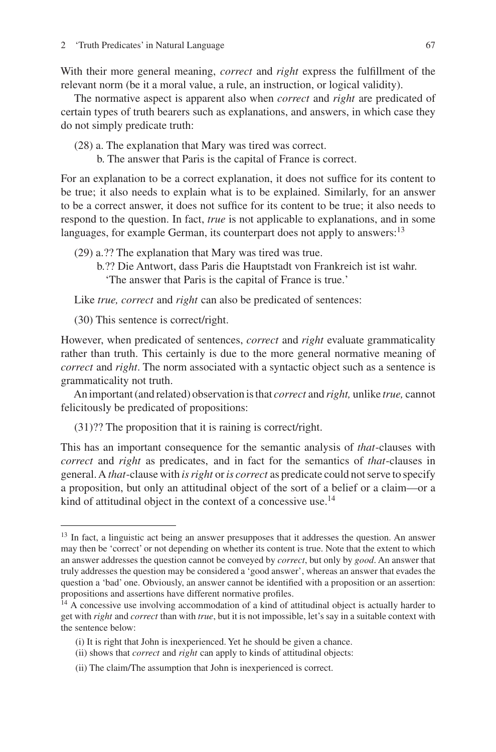With their more general meaning, *correct* and *right* express the fulfillment of the relevant norm (be it a moral value, a rule, an instruction, or logical validity).

The normative aspect is apparent also when *correct* and *right* are predicated of certain types of truth bearers such as explanations, and answers, in which case they do not simply predicate truth:

(28) a. The explanation that Mary was tired was correct.

b. The answer that Paris is the capital of France is correct.

For an explanation to be a correct explanation, it does not suffice for its content to be true; it also needs to explain what is to be explained. Similarly, for an answer to be a correct answer, it does not suffice for its content to be true; it also needs to respond to the question. In fact, *true* is not applicable to explanations, and in some languages, for example German, its counterpart does not apply to answers:<sup>13</sup>

- (29) a.?? The explanation that Mary was tired was true.
	- b.?? Die Antwort, dass Paris die Hauptstadt von Frankreich ist ist wahr. 'The answer that Paris is the capital of France is true.'

Like *true, correct* and *right* can also be predicated of sentences:

(30) This sentence is correct/right.

However, when predicated of sentences, *correct* and *right* evaluate grammaticality rather than truth. This certainly is due to the more general normative meaning of *correct* and *right*. The norm associated with a syntactic object such as a sentence is grammaticality not truth.

An important (and related) observation is that *correct* and *right,* unlike *true,* cannot felicitously be predicated of propositions:

(31)?? The proposition that it is raining is correct/right.

This has an important consequence for the semantic analysis of *that*-clauses with *correct* and *right* as predicates, and in fact for the semantics of *that*-clauses in general. A *that*-clause with *is right* or*is correct* as predicate could not serve to specify a proposition, but only an attitudinal object of the sort of a belief or a claim—or a kind of attitudinal object in the context of a concessive use.<sup>14</sup>

(i) It is right that John is inexperienced. Yet he should be given a chance.

<sup>&</sup>lt;sup>13</sup> In fact, a linguistic act being an answer presupposes that it addresses the question. An answer may then be 'correct' or not depending on whether its content is true. Note that the extent to which an answer addresses the question cannot be conveyed by *correct*, but only by *good*. An answer that truly addresses the question may be considered a 'good answer', whereas an answer that evades the question a 'bad' one. Obviously, an answer cannot be identified with a proposition or an assertion: propositions and assertions have different normative profiles.

<sup>&</sup>lt;sup>14</sup> A concessive use involving accommodation of a kind of attitudinal object is actually harder to get with *right* and *correct* than with *true*, but it is not impossible, let's say in a suitable context with the sentence below:

<sup>(</sup>ii) shows that *correct* and *right* can apply to kinds of attitudinal objects:

<sup>(</sup>ii) The claim/The assumption that John is inexperienced is correct.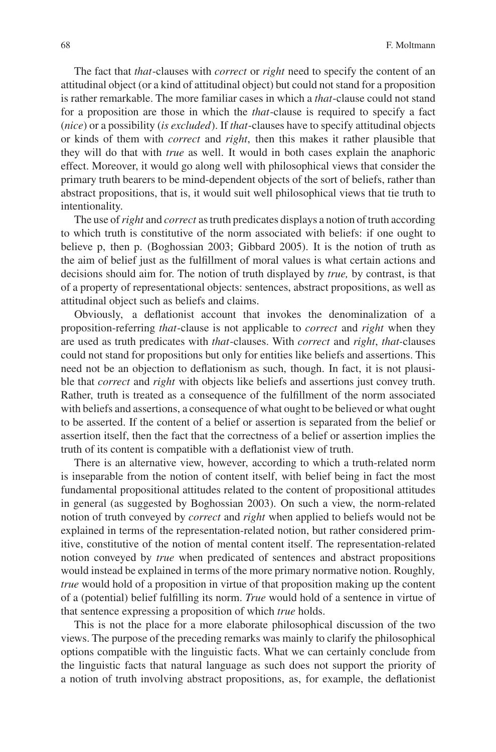The fact that *that*-clauses with *correct* or *right* need to specify the content of an attitudinal object (or a kind of attitudinal object) but could not stand for a proposition is rather remarkable. The more familiar cases in which a *that*-clause could not stand for a proposition are those in which the *that*-clause is required to specify a fact (*nice*) or a possibility (*is excluded*). If *that*-clauses have to specify attitudinal objects or kinds of them with *correct* and *right*, then this makes it rather plausible that they will do that with *true* as well. It would in both cases explain the anaphoric effect. Moreover, it would go along well with philosophical views that consider the primary truth bearers to be mind-dependent objects of the sort of beliefs, rather than abstract propositions, that is, it would suit well philosophical views that tie truth to intentionality.

The use of*right* and *correct* as truth predicates displays a notion of truth according to which truth is constitutive of the norm associated with beliefs: if one ought to believe p, then p. (Boghossian 2003; Gibbard 2005). It is the notion of truth as the aim of belief just as the fulfillment of moral values is what certain actions and decisions should aim for. The notion of truth displayed by *true,* by contrast, is that of a property of representational objects: sentences, abstract propositions, as well as attitudinal object such as beliefs and claims.

Obviously, a deflationist account that invokes the denominalization of a proposition-referring *that*-clause is not applicable to *correct* and *right* when they are used as truth predicates with *that*-clauses. With *correct* and *right*, *that-*clauses could not stand for propositions but only for entities like beliefs and assertions. This need not be an objection to deflationism as such, though. In fact, it is not plausible that *correct* and *right* with objects like beliefs and assertions just convey truth. Rather, truth is treated as a consequence of the fulfillment of the norm associated with beliefs and assertions, a consequence of what ought to be believed or what ought to be asserted. If the content of a belief or assertion is separated from the belief or assertion itself, then the fact that the correctness of a belief or assertion implies the truth of its content is compatible with a deflationist view of truth.

There is an alternative view, however, according to which a truth-related norm is inseparable from the notion of content itself, with belief being in fact the most fundamental propositional attitudes related to the content of propositional attitudes in general (as suggested by Boghossian 2003). On such a view, the norm-related notion of truth conveyed by *correct* and *right* when applied to beliefs would not be explained in terms of the representation-related notion, but rather considered primitive, constitutive of the notion of mental content itself. The representation-related notion conveyed by *true* when predicated of sentences and abstract propositions would instead be explained in terms of the more primary normative notion. Roughly*, true* would hold of a proposition in virtue of that proposition making up the content of a (potential) belief fulfilling its norm. *True* would hold of a sentence in virtue of that sentence expressing a proposition of which *true* holds.

This is not the place for a more elaborate philosophical discussion of the two views. The purpose of the preceding remarks was mainly to clarify the philosophical options compatible with the linguistic facts. What we can certainly conclude from the linguistic facts that natural language as such does not support the priority of a notion of truth involving abstract propositions, as, for example, the deflationist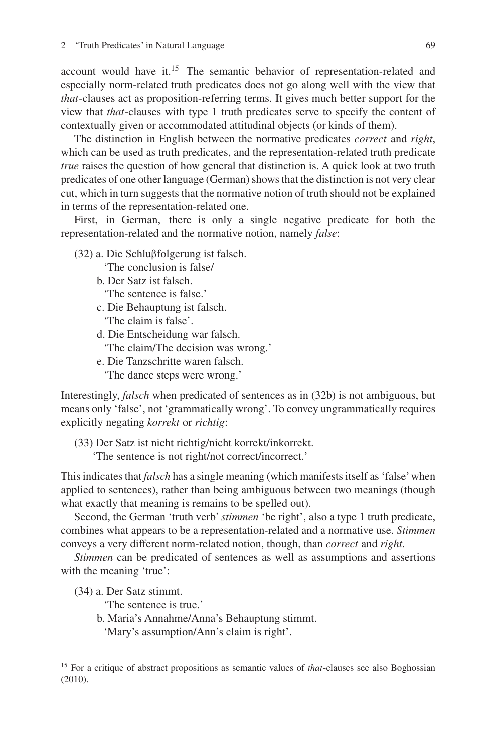account would have it.<sup>15</sup> The semantic behavior of representation-related and especially norm-related truth predicates does not go along well with the view that *that*-clauses act as proposition-referring terms. It gives much better support for the view that *that*-clauses with type 1 truth predicates serve to specify the content of contextually given or accommodated attitudinal objects (or kinds of them).

The distinction in English between the normative predicates *correct* and *right*, which can be used as truth predicates, and the representation-related truth predicate *true* raises the question of how general that distinction is. A quick look at two truth predicates of one other language (German) shows that the distinction is not very clear cut, which in turn suggests that the normative notion of truth should not be explained in terms of the representation-related one.

First, in German, there is only a single negative predicate for both the representation-related and the normative notion, namely *false*:

(32) a. Die Schluβfolgerung ist falsch.

'The conclusion is false/

- b. Der Satz ist falsch.
	- 'The sentence is false.'
- c. Die Behauptung ist falsch. 'The claim is false'.
- d. Die Entscheidung war falsch.
	- 'The claim/The decision was wrong.'
- e. Die Tanzschritte waren falsch.
	- 'The dance steps were wrong.'

Interestingly, *falsch* when predicated of sentences as in (32b) is not ambiguous, but means only 'false', not 'grammatically wrong'. To convey ungrammatically requires explicitly negating *korrekt* or *richtig*:

(33) Der Satz ist nicht richtig/nicht korrekt/inkorrekt.

'The sentence is not right/not correct/incorrect.'

This indicates that *falsch* has a single meaning (which manifests itself as 'false'when applied to sentences), rather than being ambiguous between two meanings (though what exactly that meaning is remains to be spelled out).

Second, the German 'truth verb'*stimmen* 'be right', also a type 1 truth predicate, combines what appears to be a representation-related and a normative use. *Stimmen* conveys a very different norm-related notion, though, than *correct* and *right*.

*Stimmen* can be predicated of sentences as well as assumptions and assertions with the meaning 'true':

(34) a. Der Satz stimmt.

'The sentence is true.'

b. Maria's Annahme/Anna's Behauptung stimmt.

'Mary's assumption/Ann's claim is right'.

<sup>15</sup> For a critique of abstract propositions as semantic values of *that*-clauses see also Boghossian (2010).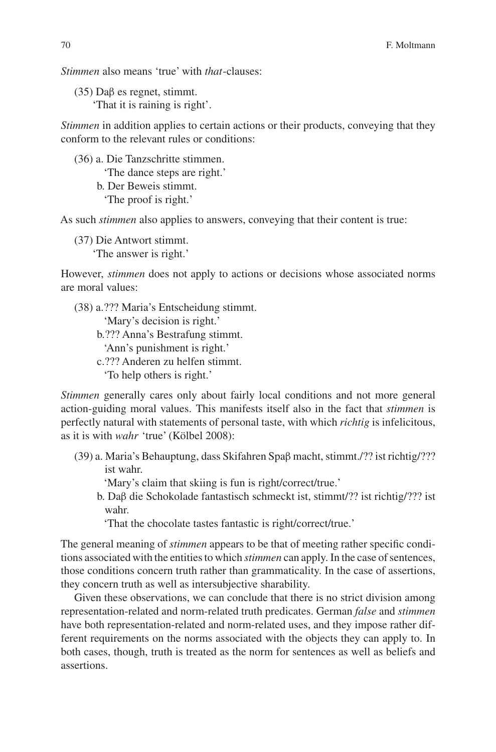*Stimmen* also means 'true' with *that*-clauses:

(35) Daβ es regnet, stimmt. 'That it is raining is right'.

*Stimmen* in addition applies to certain actions or their products, conveying that they conform to the relevant rules or conditions:

(36) a. Die Tanzschritte stimmen. 'The dance steps are right.' b. Der Beweis stimmt. 'The proof is right.'

As such *stimmen* also applies to answers, conveying that their content is true:

(37) Die Antwort stimmt. 'The answer is right.'

However, *stimmen* does not apply to actions or decisions whose associated norms are moral values:

(38) a.??? Maria's Entscheidung stimmt. 'Mary's decision is right.' b.??? Anna's Bestrafung stimmt. 'Ann's punishment is right.' c.??? Anderen zu helfen stimmt. 'To help others is right.'

*Stimmen* generally cares only about fairly local conditions and not more general action-guiding moral values. This manifests itself also in the fact that *stimmen* is perfectly natural with statements of personal taste, with which *richtig* is infelicitous, as it is with *wahr* 'true' (Kölbel 2008):

- (39) a. Maria's Behauptung, dass Skifahren Spaβ macht, stimmt./?? ist richtig/??? ist wahr.
	- 'Mary's claim that skiing is fun is right/correct/true.'
	- b. Daβ die Schokolade fantastisch schmeckt ist, stimmt/?? ist richtig/??? ist wahr.

'That the chocolate tastes fantastic is right/correct/true.'

The general meaning of *stimmen* appears to be that of meeting rather specific conditions associated with the entities to which *stimmen* can apply. In the case of sentences, those conditions concern truth rather than grammaticality. In the case of assertions, they concern truth as well as intersubjective sharability.

Given these observations, we can conclude that there is no strict division among representation-related and norm-related truth predicates. German *false* and *stimmen* have both representation-related and norm-related uses, and they impose rather different requirements on the norms associated with the objects they can apply to. In both cases, though, truth is treated as the norm for sentences as well as beliefs and assertions.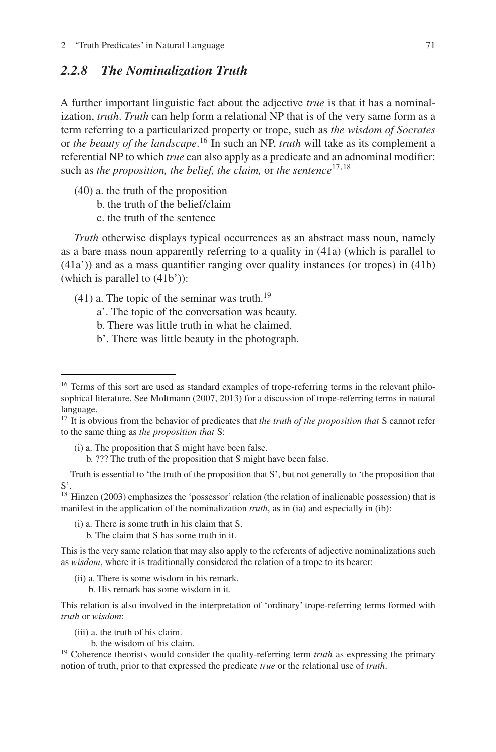### *2.2.8 The Nominalization Truth*

A further important linguistic fact about the adjective *true* is that it has a nominalization, *truth*. *Truth* can help form a relational NP that is of the very same form as a term referring to a particularized property or trope, such as *the wisdom of Socrates* or *the beauty of the landscape*. <sup>16</sup> In such an NP, *truth* will take as its complement a referential NP to which *true* can also apply as a predicate and an adnominal modifier: such as *the proposition, the belief, the claim,* or *the sentence*17,18

- (40) a. the truth of the proposition
	- b. the truth of the belief/claim
	- c. the truth of the sentence

*Truth* otherwise displays typical occurrences as an abstract mass noun, namely as a bare mass noun apparently referring to a quality in (41a) (which is parallel to (41a')) and as a mass quantifier ranging over quality instances (or tropes) in (41b) (which is parallel to (41b')):

- $(41)$  a. The topic of the seminar was truth.<sup>19</sup>
	- a'. The topic of the conversation was beauty.
	- b. There was little truth in what he claimed.
	- b'. There was little beauty in the photograph.

b. ??? The truth of the proposition that S might have been false.

Truth is essential to 'the truth of the proposition that S', but not generally to 'the proposition that S'.

<sup>18</sup> Hinzen (2003) emphasizes the 'possessor' relation (the relation of inalienable possession) that is manifest in the application of the nominalization *truth*, as in (ia) and especially in (ib):

- (i) a. There is some truth in his claim that S.
	- b. The claim that S has some truth in it.

This is the very same relation that may also apply to the referents of adjective nominalizations such as *wisdom*, where it is traditionally considered the relation of a trope to its bearer:

- (ii) a. There is some wisdom in his remark.
	- b. His remark has some wisdom in it.

This relation is also involved in the interpretation of 'ordinary' trope-referring terms formed with *truth* or *wisdom*:

- (iii) a. the truth of his claim.
	- b. the wisdom of his claim.

<sup>19</sup> Coherence theorists would consider the quality-referring term *truth* as expressing the primary notion of truth, prior to that expressed the predicate *true* or the relational use of *truth*.

<sup>&</sup>lt;sup>16</sup> Terms of this sort are used as standard examples of trope-referring terms in the relevant philosophical literature. See Moltmann (2007, 2013) for a discussion of trope-referring terms in natural language.

<sup>&</sup>lt;sup>17</sup> It is obvious from the behavior of predicates that *the truth of the proposition that* S cannot refer to the same thing as *the proposition that* S:

<sup>(</sup>i) a. The proposition that S might have been false.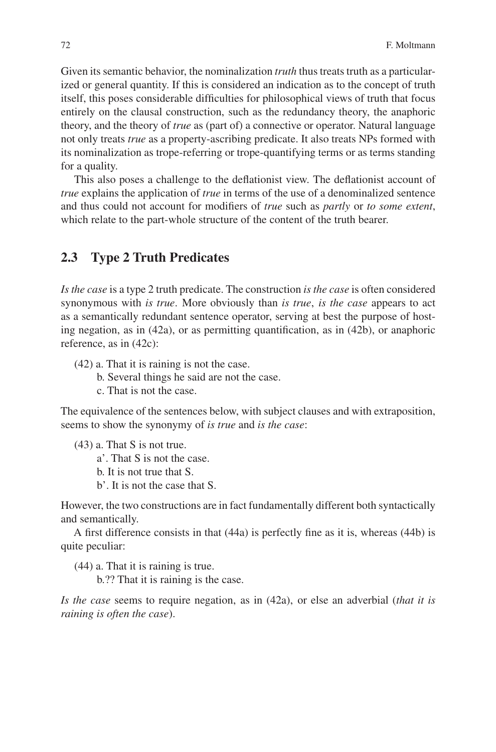Given its semantic behavior, the nominalization *truth* thus treats truth as a particularized or general quantity. If this is considered an indication as to the concept of truth itself, this poses considerable difficulties for philosophical views of truth that focus entirely on the clausal construction, such as the redundancy theory, the anaphoric theory, and the theory of *true* as (part of) a connective or operator. Natural language not only treats *true* as a property-ascribing predicate. It also treats NPs formed with its nominalization as trope-referring or trope-quantifying terms or as terms standing for a quality.

This also poses a challenge to the deflationist view. The deflationist account of *true* explains the application of *true* in terms of the use of a denominalized sentence and thus could not account for modifiers of *true* such as *partly* or *to some extent*, which relate to the part-whole structure of the content of the truth bearer.

#### **2.3 Type 2 Truth Predicates**

*Is the case* is a type 2 truth predicate. The construction *is the case* is often considered synonymous with *is true*. More obviously than *is true*, *is the case* appears to act as a semantically redundant sentence operator, serving at best the purpose of hosting negation, as in (42a), or as permitting quantification, as in (42b), or anaphoric reference, as in (42c):

- (42) a. That it is raining is not the case.
	- b. Several things he said are not the case.
	- c. That is not the case.

The equivalence of the sentences below, with subject clauses and with extraposition, seems to show the synonymy of *is true* and *is the case*:

(43) a. That S is not true.

a'. That S is not the case.

- b. It is not true that S.
- b'. It is not the case that S.

However, the two constructions are in fact fundamentally different both syntactically and semantically.

A first difference consists in that (44a) is perfectly fine as it is, whereas (44b) is quite peculiar:

(44) a. That it is raining is true.

b.?? That it is raining is the case.

*Is the case* seems to require negation, as in (42a), or else an adverbial (*that it is raining is often the case*).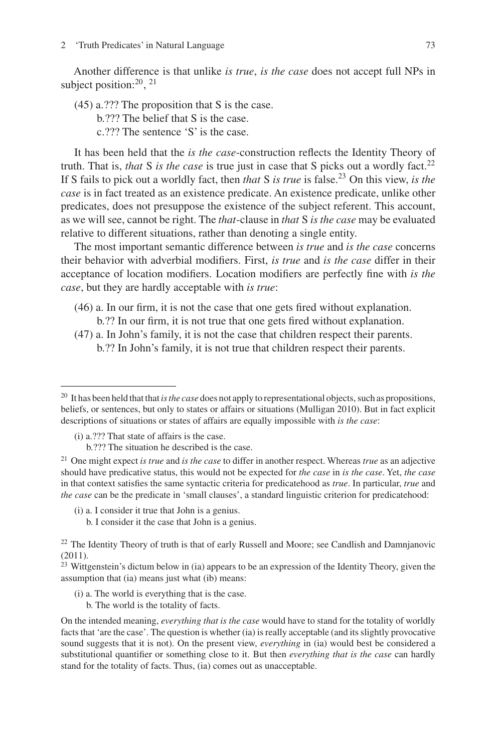Another difference is that unlike *is true*, *is the case* does not accept full NPs in subject position: $20$ ,  $21$ 

(45) a.??? The proposition that S is the case. b.??? The belief that S is the case. c.??? The sentence 'S' is the case.

It has been held that the *is the case*-construction reflects the Identity Theory of truth. That is, *that* S *is the case* is true just in case that S picks out a wordly fact.<sup>22</sup> If S fails to pick out a worldly fact, then *that* S *is true* is false.<sup>23</sup> On this view, *is the case* is in fact treated as an existence predicate. An existence predicate, unlike other predicates, does not presuppose the existence of the subject referent. This account, as we will see, cannot be right. The *that*-clause in *that* S *is the case* may be evaluated relative to different situations, rather than denoting a single entity.

The most important semantic difference between *is true* and *is the case* concerns their behavior with adverbial modifiers. First, *is true* and *is the case* differ in their acceptance of location modifiers. Location modifiers are perfectly fine with *is the case*, but they are hardly acceptable with *is true*:

- (46) a. In our firm, it is not the case that one gets fired without explanation.
	- b.?? In our firm, it is not true that one gets fired without explanation.
- (47) a. In John's family, it is not the case that children respect their parents. b.?? In John's family, it is not true that children respect their parents.

- (i) a. I consider it true that John is a genius.
	- b. I consider it the case that John is a genius.

<sup>23</sup> Wittgenstein's dictum below in (ia) appears to be an expression of the Identity Theory, given the assumption that (ia) means just what (ib) means:

(i) a. The world is everything that is the case. b. The world is the totality of facts.

<sup>20</sup> It has been held that that *is the case* does not apply to representational objects, such as propositions, beliefs, or sentences, but only to states or affairs or situations (Mulligan 2010). But in fact explicit descriptions of situations or states of affairs are equally impossible with *is the case*:

<sup>(</sup>i) a.??? That state of affairs is the case.

b.??? The situation he described is the case.

<sup>21</sup> One might expect *is true* and *is the case* to differ in another respect. Whereas *true* as an adjective should have predicative status, this would not be expected for *the case* in *is the case*. Yet, *the case* in that context satisfies the same syntactic criteria for predicatehood as *true*. In particular, *true* and *the case* can be the predicate in 'small clauses', a standard linguistic criterion for predicatehood:

<sup>&</sup>lt;sup>22</sup> The Identity Theory of truth is that of early Russell and Moore; see Candlish and Damnjanovic (2011).

On the intended meaning, *everything that is the case* would have to stand for the totality of worldly facts that 'are the case'. The question is whether (ia) is really acceptable (and its slightly provocative sound suggests that it is not). On the present view, *everything* in (ia) would best be considered a substitutional quantifier or something close to it. But then *everything that is the case* can hardly stand for the totality of facts. Thus, (ia) comes out as unacceptable.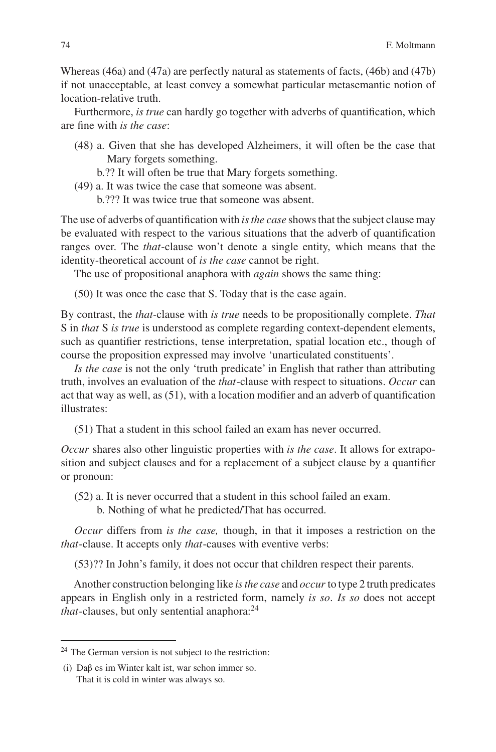Whereas (46a) and (47a) are perfectly natural as statements of facts, (46b) and (47b) if not unacceptable, at least convey a somewhat particular metasemantic notion of location-relative truth.

Furthermore, *is true* can hardly go together with adverbs of quantification, which are fine with *is the case*:

- (48) a. Given that she has developed Alzheimers, it will often be the case that Mary forgets something.
	- b.?? It will often be true that Mary forgets something.
- (49) a. It was twice the case that someone was absent. b.??? It was twice true that someone was absent.

The use of adverbs of quantification with *is the case* shows that the subject clause may be evaluated with respect to the various situations that the adverb of quantification ranges over. The *that*-clause won't denote a single entity, which means that the identity-theoretical account of *is the case* cannot be right.

The use of propositional anaphora with *again* shows the same thing:

(50) It was once the case that S. Today that is the case again.

By contrast, the *that-*clause with *is true* needs to be propositionally complete. *That* S in *that* S *is true* is understood as complete regarding context-dependent elements, such as quantifier restrictions, tense interpretation, spatial location etc., though of course the proposition expressed may involve 'unarticulated constituents'.

*Is the case* is not the only 'truth predicate' in English that rather than attributing truth, involves an evaluation of the *that*-clause with respect to situations. *Occur* can act that way as well, as (51), with a location modifier and an adverb of quantification illustrates:

(51) That a student in this school failed an exam has never occurred.

*Occur* shares also other linguistic properties with *is the case*. It allows for extraposition and subject clauses and for a replacement of a subject clause by a quantifier or pronoun:

- (52) a. It is never occurred that a student in this school failed an exam.
	- b. Nothing of what he predicted/That has occurred.

*Occur* differs from *is the case,* though, in that it imposes a restriction on the *that*-clause. It accepts only *that*-causes with eventive verbs:

(53)?? In John's family, it does not occur that children respect their parents.

Another construction belonging like *is the case* and *occur* to type 2 truth predicates appears in English only in a restricted form, namely *is so*. *Is so* does not accept *that*-clauses, but only sentential anaphora:<sup>24</sup>

<sup>&</sup>lt;sup>24</sup> The German version is not subject to the restriction:

<sup>(</sup>i) Daβ es im Winter kalt ist, war schon immer so. That it is cold in winter was always so.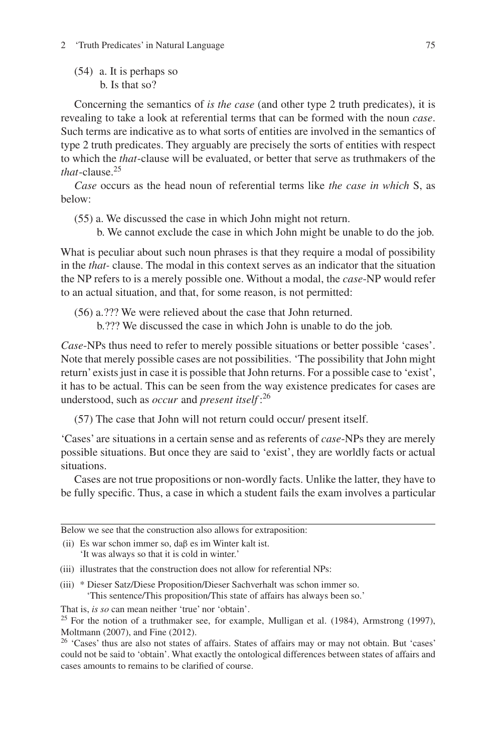(54) a. It is perhaps so b. Is that so?

Concerning the semantics of *is the case* (and other type 2 truth predicates), it is revealing to take a look at referential terms that can be formed with the noun *case*. Such terms are indicative as to what sorts of entities are involved in the semantics of type 2 truth predicates. They arguably are precisely the sorts of entities with respect to which the *that*-clause will be evaluated, or better that serve as truthmakers of the *that*-clause.<sup>25</sup>

*Case* occurs as the head noun of referential terms like *the case in which* S, as below:

- (55) a. We discussed the case in which John might not return.
	- b. We cannot exclude the case in which John might be unable to do the job.

What is peculiar about such noun phrases is that they require a modal of possibility in the *that-* clause. The modal in this context serves as an indicator that the situation the NP refers to is a merely possible one. Without a modal, the *case*-NP would refer to an actual situation, and that, for some reason, is not permitted:

(56) a.??? We were relieved about the case that John returned.

b.??? We discussed the case in which John is unable to do the job.

*Case*-NPs thus need to refer to merely possible situations or better possible 'cases'. Note that merely possible cases are not possibilities. 'The possibility that John might return'exists just in case it is possible that John returns. For a possible case to 'exist', it has to be actual. This can be seen from the way existence predicates for cases are understood, such as *occur* and *present itself* : 26

(57) The case that John will not return could occur/ present itself.

'Cases' are situations in a certain sense and as referents of *case*-NPs they are merely possible situations. But once they are said to 'exist', they are worldly facts or actual situations.

Cases are not true propositions or non-wordly facts. Unlike the latter, they have to be fully specific. Thus, a case in which a student fails the exam involves a particular

- 'It was always so that it is cold in winter.'
- (iii) illustrates that the construction does not allow for referential NPs:
- (iii) \* Dieser Satz/Diese Proposition/Dieser Sachverhalt was schon immer so. 'This sentence/This proposition/This state of affairs has always been so.'

That is, *is so* can mean neither 'true' nor 'obtain'.

Below we see that the construction also allows for extraposition:

<sup>(</sup>ii) Es war schon immer so, daβ es im Winter kalt ist.

 $25$  For the notion of a truthmaker see, for example, Mulligan et al. (1984), Armstrong (1997), Moltmann (2007), and Fine (2012).

<sup>&</sup>lt;sup>26</sup> 'Cases' thus are also not states of affairs. States of affairs may or may not obtain. But 'cases' could not be said to 'obtain'. What exactly the ontological differences between states of affairs and cases amounts to remains to be clarified of course.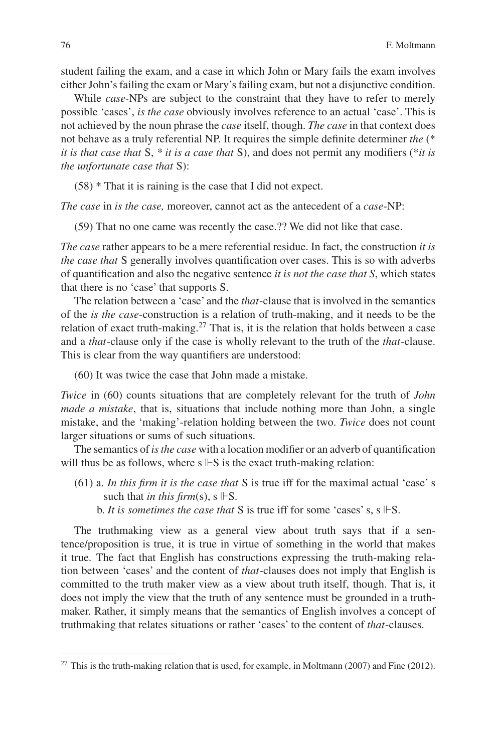student failing the exam, and a case in which John or Mary fails the exam involves either John's failing the exam or Mary's failing exam, but not a disjunctive condition.

While *case-*NPs are subject to the constraint that they have to refer to merely possible 'cases', *is the case* obviously involves reference to an actual 'case'. This is not achieved by the noun phrase the *case* itself, though. *The case* in that context does not behave as a truly referential NP. It requires the simple definite determiner *the* (\* *it is that case that* S, *\* it is a case that* S), and does not permit any modifiers (\**it is the unfortunate case that* S):

(58) \* That it is raining is the case that I did not expect.

*The case* in *is the case,* moreover, cannot act as the antecedent of a *case*-NP:

(59) That no one came was recently the case.?? We did not like that case.

*The case* rather appears to be a mere referential residue. In fact, the construction *it is the case that* S generally involves quantification over cases. This is so with adverbs of quantification and also the negative sentence *it is not the case that S*, which states that there is no 'case' that supports S.

The relation between a 'case' and the *that*-clause that is involved in the semantics of the *is the case*-construction is a relation of truth-making, and it needs to be the relation of exact truth-making.<sup>27</sup> That is, it is the relation that holds between a case and a *that*-clause only if the case is wholly relevant to the truth of the *that*-clause. This is clear from the way quantifiers are understood:

(60) It was twice the case that John made a mistake.

*Twice* in (60) counts situations that are completely relevant for the truth of *John made a mistake*, that is, situations that include nothing more than John, a single mistake, and the 'making'-relation holding between the two. *Twice* does not count larger situations or sums of such situations.

The semantics of *is the case* with a location modifier or an adverb of quantification will thus be as follows, where  $s \not\rightarrow S$  is the exact truth-making relation:

(61) a. *In this firm it is the case that* S is true iff for the maximal actual 'case' s such that *in this firm*(s),  $s \vDash S$ .

b. *It is sometimes the case that* S is true iff for some 'cases' s,  $s \vDash S$ .

The truthmaking view as a general view about truth says that if a sentence/proposition is true, it is true in virtue of something in the world that makes it true. The fact that English has constructions expressing the truth-making relation between 'cases' and the content of *that*-clauses does not imply that English is committed to the truth maker view as a view about truth itself, though. That is, it does not imply the view that the truth of any sentence must be grounded in a truthmaker. Rather, it simply means that the semantics of English involves a concept of truthmaking that relates situations or rather 'cases' to the content of *that*-clauses.

<sup>&</sup>lt;sup>27</sup> This is the truth-making relation that is used, for example, in Moltmann (2007) and Fine (2012).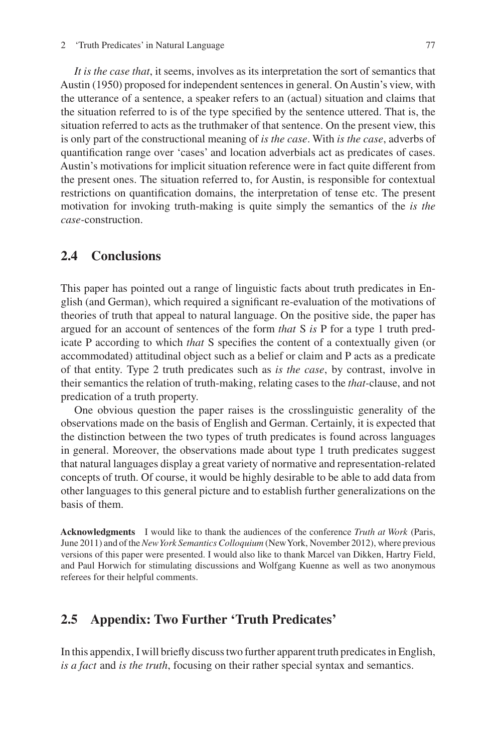*It is the case that*, it seems, involves as its interpretation the sort of semantics that Austin (1950) proposed for independent sentences in general. On Austin's view, with the utterance of a sentence, a speaker refers to an (actual) situation and claims that the situation referred to is of the type specified by the sentence uttered. That is, the situation referred to acts as the truthmaker of that sentence. On the present view, this is only part of the constructional meaning of *is the case*. With *is the case*, adverbs of quantification range over 'cases' and location adverbials act as predicates of cases. Austin's motivations for implicit situation reference were in fact quite different from the present ones. The situation referred to, for Austin, is responsible for contextual restrictions on quantification domains, the interpretation of tense etc. The present motivation for invoking truth-making is quite simply the semantics of the *is the case-*construction.

#### **2.4 Conclusions**

This paper has pointed out a range of linguistic facts about truth predicates in English (and German), which required a significant re-evaluation of the motivations of theories of truth that appeal to natural language. On the positive side, the paper has argued for an account of sentences of the form *that* S *is* P for a type 1 truth predicate P according to which *that* S specifies the content of a contextually given (or accommodated) attitudinal object such as a belief or claim and P acts as a predicate of that entity. Type 2 truth predicates such as *is the case*, by contrast, involve in their semantics the relation of truth-making, relating cases to the *that-*clause, and not predication of a truth property.

One obvious question the paper raises is the crosslinguistic generality of the observations made on the basis of English and German. Certainly, it is expected that the distinction between the two types of truth predicates is found across languages in general. Moreover, the observations made about type 1 truth predicates suggest that natural languages display a great variety of normative and representation-related concepts of truth. Of course, it would be highly desirable to be able to add data from other languages to this general picture and to establish further generalizations on the basis of them.

**Acknowledgments** I would like to thank the audiences of the conference *Truth at Work* (Paris, June 2011) and of the*NewYork Semantics Colloquium* (NewYork, November 2012), where previous versions of this paper were presented. I would also like to thank Marcel van Dikken, Hartry Field, and Paul Horwich for stimulating discussions and Wolfgang Kuenne as well as two anonymous referees for their helpful comments.

#### **2.5 Appendix: Two Further 'Truth Predicates'**

In this appendix, I will briefly discuss two further apparent truth predicates in English, *is a fact* and *is the truth*, focusing on their rather special syntax and semantics.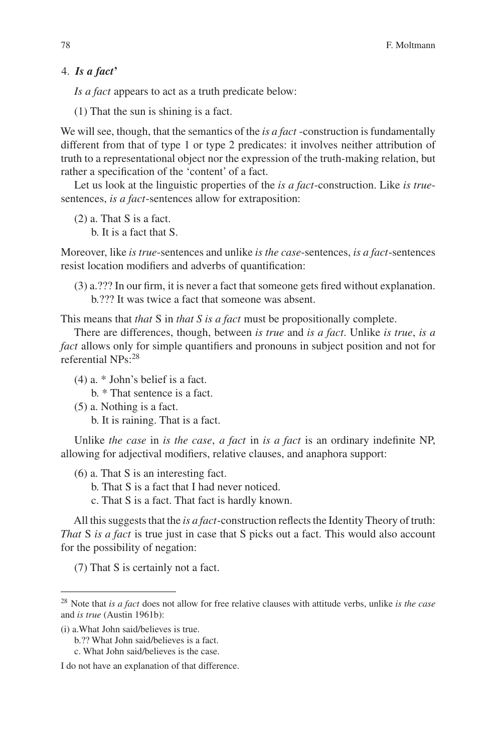4. *Is a fact***'**

*Is a fact* appears to act as a truth predicate below:

(1) That the sun is shining is a fact.

We will see, though, that the semantics of the *is a fact* -construction is fundamentally different from that of type 1 or type 2 predicates: it involves neither attribution of truth to a representational object nor the expression of the truth-making relation, but rather a specification of the 'content' of a fact.

Let us look at the linguistic properties of the *is a fact*-construction. Like *is true*sentences, *is a fact*-sentences allow for extraposition:

```
(2) a. That S is a fact.
```
b. It is a fact that S.

Moreover, like *is true*-sentences and unlike *is the case*-sentences, *is a fact*-sentences resist location modifiers and adverbs of quantification:

(3) a.??? In our firm, it is never a fact that someone gets fired without explanation. b.??? It was twice a fact that someone was absent.

This means that *that* S in *that S is a fact* must be propositionally complete.

There are differences, though, between *is true* and *is a fact*. Unlike *is true*, *is a fact* allows only for simple quantifiers and pronouns in subject position and not for referential NPs:<sup>28</sup>

(4) a. \* John's belief is a fact.

b. \* That sentence is a fact.

(5) a. Nothing is a fact.

b. It is raining. That is a fact.

Unlike *the case* in *is the case*, *a fact* in *is a fact* is an ordinary indefinite NP, allowing for adjectival modifiers, relative clauses, and anaphora support:

(6) a. That S is an interesting fact.

- b. That S is a fact that I had never noticed.
- c. That S is a fact. That fact is hardly known.

All this suggests that the *is a fact*-construction reflects the Identity Theory of truth: *That* S *is a fact* is true just in case that S picks out a fact. This would also account for the possibility of negation:

(7) That S is certainly not a fact.

<sup>28</sup> Note that *is a fact* does not allow for free relative clauses with attitude verbs, unlike *is the case* and *is true* (Austin 1961b):

<sup>(</sup>i) a.What John said/believes is true.

b.?? What John said/believes is a fact.

c. What John said/believes is the case.

I do not have an explanation of that difference.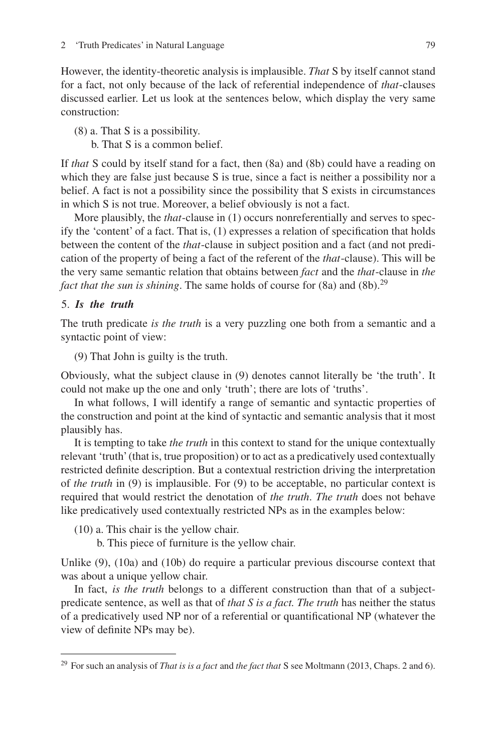However, the identity-theoretic analysis is implausible. *That* S by itself cannot stand for a fact, not only because of the lack of referential independence of *that*-clauses discussed earlier. Let us look at the sentences below, which display the very same construction:

(8) a. That S is a possibility.

b. That S is a common belief.

If *that* S could by itself stand for a fact, then (8a) and (8b) could have a reading on which they are false just because S is true, since a fact is neither a possibility nor a belief. A fact is not a possibility since the possibility that S exists in circumstances in which S is not true. Moreover, a belief obviously is not a fact.

More plausibly, the *that*-clause in (1) occurs nonreferentially and serves to specify the 'content' of a fact. That is, (1) expresses a relation of specification that holds between the content of the *that*-clause in subject position and a fact (and not predication of the property of being a fact of the referent of the *that*-clause). This will be the very same semantic relation that obtains between *fact* and the *that*-clause in *the fact that the sun is shining*. The same holds of course for (8a) and (8b).<sup>29</sup>

#### 5. *Is the truth*

The truth predicate *is the truth* is a very puzzling one both from a semantic and a syntactic point of view:

(9) That John is guilty is the truth.

Obviously, what the subject clause in (9) denotes cannot literally be 'the truth'. It could not make up the one and only 'truth'; there are lots of 'truths'.

In what follows, I will identify a range of semantic and syntactic properties of the construction and point at the kind of syntactic and semantic analysis that it most plausibly has.

It is tempting to take *the truth* in this context to stand for the unique contextually relevant 'truth'(that is, true proposition) or to act as a predicatively used contextually restricted definite description. But a contextual restriction driving the interpretation of *the truth* in (9) is implausible. For (9) to be acceptable, no particular context is required that would restrict the denotation of *the truth*. *The truth* does not behave like predicatively used contextually restricted NPs as in the examples below:

(10) a. This chair is the yellow chair.

b. This piece of furniture is the yellow chair.

Unlike (9), (10a) and (10b) do require a particular previous discourse context that was about a unique yellow chair.

In fact, *is the truth* belongs to a different construction than that of a subjectpredicate sentence, as well as that of *that S is a fact. The truth* has neither the status of a predicatively used NP nor of a referential or quantificational NP (whatever the view of definite NPs may be).

<sup>29</sup> For such an analysis of *That is is a fact* and *the fact that* S see Moltmann (2013, Chaps. 2 and 6).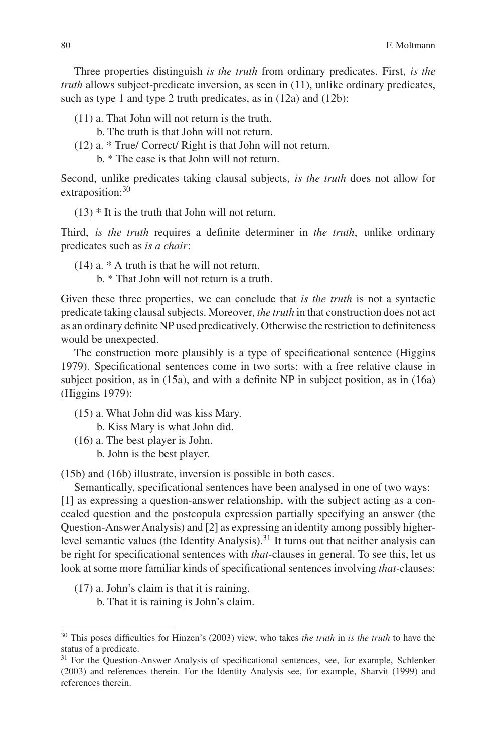Three properties distinguish *is the truth* from ordinary predicates. First, *is the truth* allows subject-predicate inversion, as seen in  $(11)$ , unlike ordinary predicates, such as type 1 and type 2 truth predicates, as in  $(12a)$  and  $(12b)$ :

- (11) a. That John will not return is the truth.
	- b. The truth is that John will not return.
- (12) a. \* True/ Correct/ Right is that John will not return.

b. \* The case is that John will not return.

Second, unlike predicates taking clausal subjects, *is the truth* does not allow for extraposition:<sup>30</sup>

 $(13)$  \* It is the truth that John will not return.

Third, *is the truth* requires a definite determiner in *the truth*, unlike ordinary predicates such as *is a chair*:

- (14) a. \* A truth is that he will not return.
	- b. \* That John will not return is a truth.

Given these three properties, we can conclude that *is the truth* is not a syntactic predicate taking clausal subjects. Moreover, *the truth* in that construction does not act as an ordinary definite NP used predicatively. Otherwise the restriction to definiteness would be unexpected.

The construction more plausibly is a type of specificational sentence (Higgins 1979). Specificational sentences come in two sorts: with a free relative clause in subject position, as in (15a), and with a definite NP in subject position, as in (16a) (Higgins 1979):

- (15) a. What John did was kiss Mary.
	- b. Kiss Mary is what John did.
- (16) a. The best player is John.
	- b. John is the best player.

(15b) and (16b) illustrate, inversion is possible in both cases.

Semantically, specificational sentences have been analysed in one of two ways: [1] as expressing a question-answer relationship, with the subject acting as a concealed question and the postcopula expression partially specifying an answer (the Question-Answer Analysis) and [2] as expressing an identity among possibly higherlevel semantic values (the Identity Analysis).31 It turns out that neither analysis can be right for specificational sentences with *that-*clauses in general. To see this, let us look at some more familiar kinds of specificational sentences involving *that-*clauses:

- (17) a. John's claim is that it is raining.
	- b. That it is raining is John's claim.

<sup>30</sup> This poses difficulties for Hinzen's (2003) view, who takes *the truth* in *is the truth* to have the status of a predicate.

<sup>&</sup>lt;sup>31</sup> For the Question-Answer Analysis of specificational sentences, see, for example, Schlenker (2003) and references therein. For the Identity Analysis see, for example, Sharvit (1999) and references therein.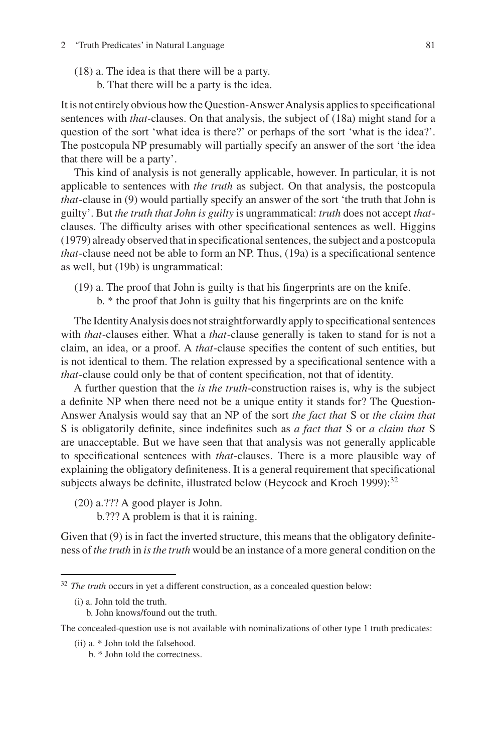(18) a. The idea is that there will be a party.

b. That there will be a party is the idea.

It is not entirely obvious how the Question-AnswerAnalysis applies to specificational sentences with *that-*clauses. On that analysis, the subject of (18a) might stand for a question of the sort 'what idea is there?' or perhaps of the sort 'what is the idea?'. The postcopula NP presumably will partially specify an answer of the sort 'the idea that there will be a party'.

This kind of analysis is not generally applicable, however. In particular, it is not applicable to sentences with *the truth* as subject. On that analysis, the postcopula *that*-clause in (9) would partially specify an answer of the sort 'the truth that John is guilty'. But *the truth that John is guilty* is ungrammatical: *truth* does not accept *that*clauses. The difficulty arises with other specificational sentences as well. Higgins (1979) already observed that in specificational sentences, the subject and a postcopula *that*-clause need not be able to form an NP. Thus, (19a) is a specificational sentence as well, but (19b) is ungrammatical:

(19) a. The proof that John is guilty is that his fingerprints are on the knife. b. \* the proof that John is guilty that his fingerprints are on the knife

The IdentityAnalysis does not straightforwardly apply to specificational sentences with *that*-clauses either. What a *that*-clause generally is taken to stand for is not a claim, an idea, or a proof. A *that*-clause specifies the content of such entities, but is not identical to them. The relation expressed by a specificational sentence with a *that*-clause could only be that of content specification, not that of identity.

A further question that the *is the truth*-construction raises is, why is the subject a definite NP when there need not be a unique entity it stands for? The Question-Answer Analysis would say that an NP of the sort *the fact that* S or *the claim that* S is obligatorily definite, since indefinites such as *a fact that* S or *a claim that* S are unacceptable. But we have seen that that analysis was not generally applicable to specificational sentences with *that*-clauses. There is a more plausible way of explaining the obligatory definiteness. It is a general requirement that specificational subjects always be definite, illustrated below (Heycock and Kroch 1999): $^{32}$ 

(20) a.??? A good player is John. b.??? A problem is that it is raining.

Given that  $(9)$  is in fact the inverted structure, this means that the obligatory definiteness of *the truth* in *is the truth* would be an instance of a more general condition on the

<sup>&</sup>lt;sup>32</sup> *The truth* occurs in yet a different construction, as a concealed question below:

<sup>(</sup>i) a. John told the truth.

b. John knows/found out the truth.

The concealed-question use is not available with nominalizations of other type 1 truth predicates:

<sup>(</sup>ii) a. \* John told the falsehood.

b. \* John told the correctness.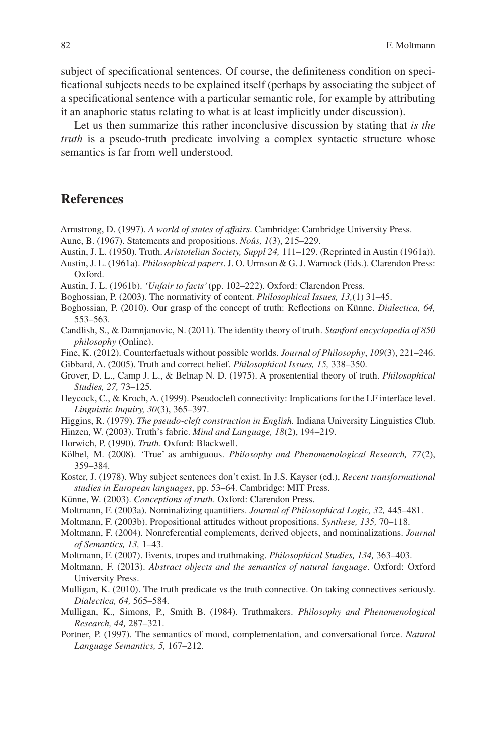subject of specificational sentences. Of course, the definiteness condition on specificational subjects needs to be explained itself (perhaps by associating the subject of a specificational sentence with a particular semantic role, for example by attributing it an anaphoric status relating to what is at least implicitly under discussion).

Let us then summarize this rather inconclusive discussion by stating that *is the truth* is a pseudo-truth predicate involving a complex syntactic structure whose semantics is far from well understood.

#### **References**

- Armstrong, D. (1997). *A world of states of affairs*. Cambridge: Cambridge University Press.
- Aune, B. (1967). Statements and propositions. *Noûs, 1*(3), 215–229.
- Austin, J. L. (1950). Truth. *Aristotelian Society, Suppl 24,* 111–129. (Reprinted in Austin (1961a)).
- Austin, J. L. (1961a). *Philosophical papers*. J. O. Urmson & G. J. Warnock (Eds.). Clarendon Press: Oxford.
- Austin, J. L. (1961b). *'Unfair to facts'*(pp. 102–222). Oxford: Clarendon Press.
- Boghossian, P. (2003). The normativity of content. *Philosophical Issues, 13,*(1) 31–45.
- Boghossian, P. (2010). Our grasp of the concept of truth: Reflections on Künne. *Dialectica, 64,* 553–563.
- Candlish, S., & Damnjanovic, N. (2011). The identity theory of truth. *Stanford encyclopedia of 850 philosophy* (Online).
- Fine, K. (2012). Counterfactuals without possible worlds. *Journal of Philosophy*, *109*(3), 221–246.
- Gibbard, A. (2005). Truth and correct belief. *Philosophical Issues, 15,* 338–350.
- Grover, D. L., Camp J. L., & Belnap N. D. (1975). A prosentential theory of truth. *Philosophical Studies, 27,* 73–125.
- Heycock, C., & Kroch, A. (1999). Pseudocleft connectivity: Implications for the LF interface level. *Linguistic Inquiry, 30*(3), 365–397.
- Higgins, R. (1979). *The pseudo-cleft construction in English.* Indiana University Linguistics Club.
- Hinzen, W. (2003). Truth's fabric. *Mind and Language, 18*(2), 194–219.
- Horwich, P. (1990). *Truth*. Oxford: Blackwell.
- Kölbel, M. (2008). 'True' as ambiguous. *Philosophy and Phenomenological Research, 77*(2), 359–384.
- Koster, J. (1978). Why subject sentences don't exist. In J.S. Kayser (ed.), *Recent transformational studies in European languages*, pp. 53–64. Cambridge: MIT Press.
- Künne, W. (2003). *Conceptions of truth*. Oxford: Clarendon Press.
- Moltmann, F. (2003a). Nominalizing quantifiers. *Journal of Philosophical Logic, 32,* 445–481.
- Moltmann, F. (2003b). Propositional attitudes without propositions. *Synthese, 135,* 70–118.
- Moltmann, F. (2004). Nonreferential complements, derived objects, and nominalizations. *Journal of Semantics, 13,* 1–43.
- Moltmann, F. (2007). Events, tropes and truthmaking. *Philosophical Studies, 134,* 363–403.
- Moltmann, F. (2013). *Abstract objects and the semantics of natural language*. Oxford: Oxford University Press.
- Mulligan, K. (2010). The truth predicate vs the truth connective. On taking connectives seriously. *Dialectica, 64,* 565–584.
- Mulligan, K., Simons, P., Smith B. (1984). Truthmakers. *Philosophy and Phenomenological Research, 44,* 287–321.
- Portner, P. (1997). The semantics of mood, complementation, and conversational force. *Natural Language Semantics, 5,* 167–212.